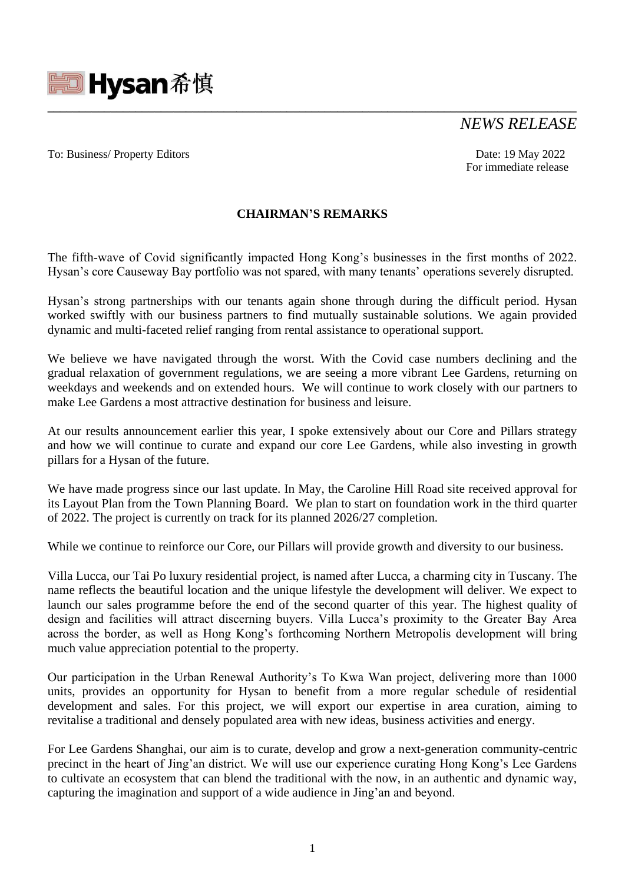

# *NEWS RELEASE*

### To: Business/ Property Editors Date: 19 May 2022

For immediate release

## **CHAIRMAN'S REMARKS**

**\_\_\_\_\_\_\_\_\_\_\_\_\_\_\_\_\_\_\_\_\_\_\_\_\_\_\_\_\_\_\_\_\_\_\_\_\_\_\_\_\_\_\_\_\_\_\_\_\_\_\_\_\_\_\_\_\_\_\_\_\_\_\_\_\_\_\_\_\_\_\_\_\_\_\_\_\_\_\_\_\_\_\_\_**

The fifth-wave of Covid significantly impacted Hong Kong's businesses in the first months of 2022. Hysan's core Causeway Bay portfolio was not spared, with many tenants' operations severely disrupted.

Hysan's strong partnerships with our tenants again shone through during the difficult period. Hysan worked swiftly with our business partners to find mutually sustainable solutions. We again provided dynamic and multi-faceted relief ranging from rental assistance to operational support.

We believe we have navigated through the worst. With the Covid case numbers declining and the gradual relaxation of government regulations, we are seeing a more vibrant Lee Gardens, returning on weekdays and weekends and on extended hours. We will continue to work closely with our partners to make Lee Gardens a most attractive destination for business and leisure.

At our results announcement earlier this year, I spoke extensively about our Core and Pillars strategy and how we will continue to curate and expand our core Lee Gardens, while also investing in growth pillars for a Hysan of the future.

We have made progress since our last update. In May, the Caroline Hill Road site received approval for its Layout Plan from the Town Planning Board. We plan to start on foundation work in the third quarter of 2022. The project is currently on track for its planned 2026/27 completion.

While we continue to reinforce our Core, our Pillars will provide growth and diversity to our business.

Villa Lucca, our Tai Po luxury residential project, is named after Lucca, a charming city in Tuscany. The name reflects the beautiful location and the unique lifestyle the development will deliver. We expect to launch our sales programme before the end of the second quarter of this year. The highest quality of design and facilities will attract discerning buyers. Villa Lucca's proximity to the Greater Bay Area across the border, as well as Hong Kong's forthcoming Northern Metropolis development will bring much value appreciation potential to the property.

Our participation in the Urban Renewal Authority's To Kwa Wan project, delivering more than 1000 units, provides an opportunity for Hysan to benefit from a more regular schedule of residential development and sales. For this project, we will export our expertise in area curation, aiming to revitalise a traditional and densely populated area with new ideas, business activities and energy.

For Lee Gardens Shanghai, our aim is to curate, develop and grow a next-generation community-centric precinct in the heart of Jing'an district. We will use our experience curating Hong Kong's Lee Gardens to cultivate an ecosystem that can blend the traditional with the now, in an authentic and dynamic way, capturing the imagination and support of a wide audience in Jing'an and beyond.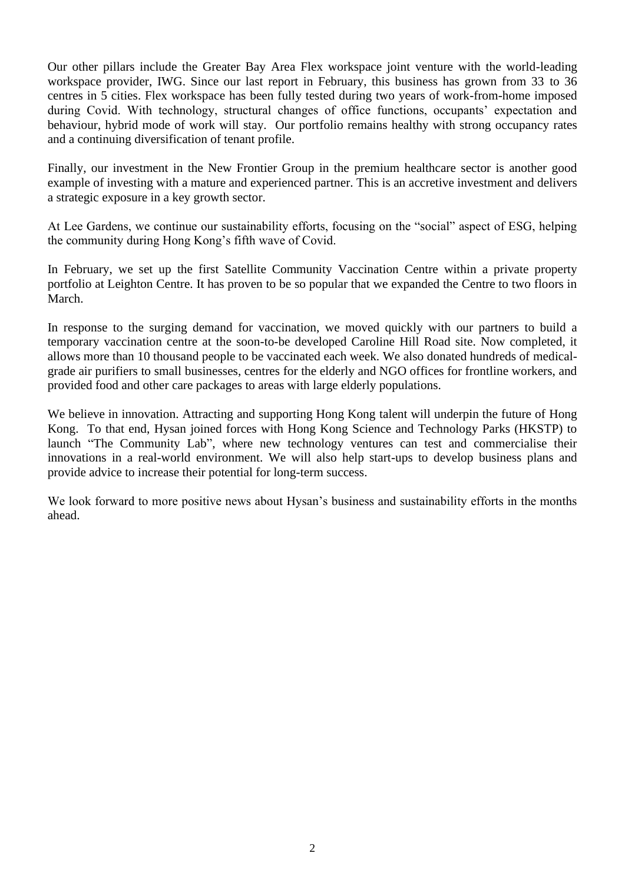Our other pillars include the Greater Bay Area Flex workspace joint venture with the world-leading workspace provider, IWG. Since our last report in February, this business has grown from 33 to 36 centres in 5 cities. Flex workspace has been fully tested during two years of work-from-home imposed during Covid. With technology, structural changes of office functions, occupants' expectation and behaviour, hybrid mode of work will stay. Our portfolio remains healthy with strong occupancy rates and a continuing diversification of tenant profile.

Finally, our investment in the New Frontier Group in the premium healthcare sector is another good example of investing with a mature and experienced partner. This is an accretive investment and delivers a strategic exposure in a key growth sector.

At Lee Gardens, we continue our sustainability efforts, focusing on the "social" aspect of ESG, helping the community during Hong Kong's fifth wave of Covid.

In February, we set up the first Satellite Community Vaccination Centre within a private property portfolio at Leighton Centre. It has proven to be so popular that we expanded the Centre to two floors in March.

In response to the surging demand for vaccination, we moved quickly with our partners to build a temporary vaccination centre at the soon-to-be developed Caroline Hill Road site. Now completed, it allows more than 10 thousand people to be vaccinated each week. We also donated hundreds of medicalgrade air purifiers to small businesses, centres for the elderly and NGO offices for frontline workers, and provided food and other care packages to areas with large elderly populations.

We believe in innovation. Attracting and supporting Hong Kong talent will underpin the future of Hong Kong. To that end, Hysan joined forces with Hong Kong Science and Technology Parks (HKSTP) to launch "The Community Lab", where new technology ventures can test and commercialise their innovations in a real-world environment. We will also help start-ups to develop business plans and provide advice to increase their potential for long-term success.

We look forward to more positive news about Hysan's business and sustainability efforts in the months ahead.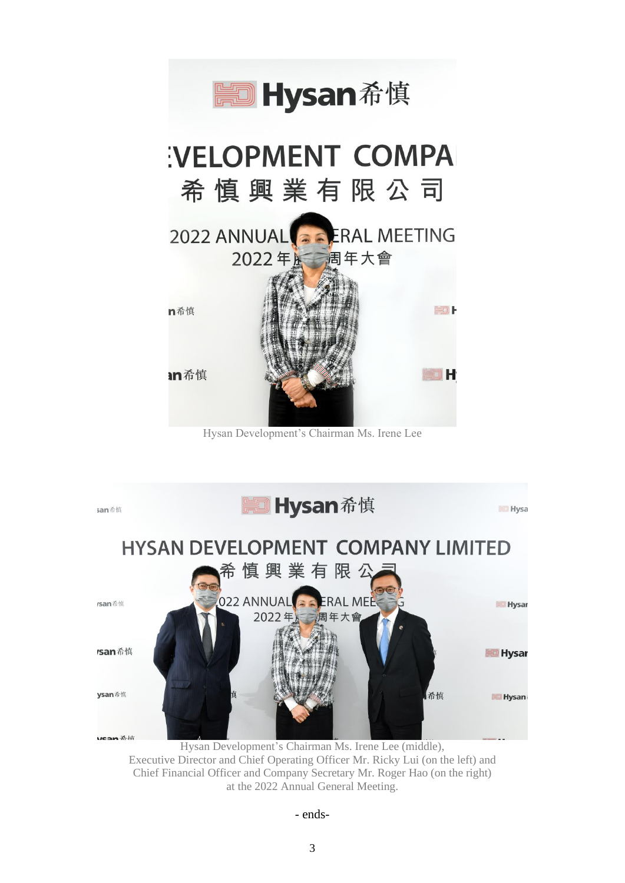

Hysan Development's Chairman Ms. Irene Lee



Hysan Development's Chairman Ms. Irene Lee (middle), Executive Director and Chief Operating Officer Mr. Ricky Lui (on the left) and Chief Financial Officer and Company Secretary Mr. Roger Hao (on the right) at the 2022 Annual General Meeting.

#### - ends-